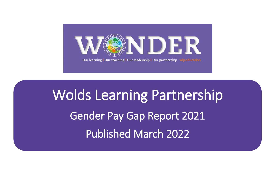

Wolds Learning Partnership Gender Pay Gap Report 2021 Published March 2022

Ī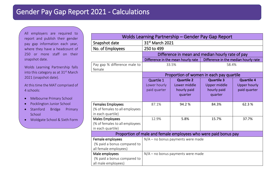All employers are required to report and publish their gender pay gap information each year, where they have a headcount of 250 or more staff on their snapshot date.

Wolds Learning Partnership falls into this category as at  $31<sup>st</sup>$  March 2021 (snapshot date).

At this time the MAT comprised of 4 schools:

- Melbourne Primary School
- Pocklington Junior School
- Stamford Bridge Primary School
- Woldgate School & Sixth Form

| Wolds Learning Partnership – Gender Pay Gap Report                              |                                                  |                                                             |                                                             |                                                          |  |  |  |  |
|---------------------------------------------------------------------------------|--------------------------------------------------|-------------------------------------------------------------|-------------------------------------------------------------|----------------------------------------------------------|--|--|--|--|
| Snapshot date                                                                   | 31st March 2021                                  |                                                             |                                                             |                                                          |  |  |  |  |
| No. of Employees                                                                | 250 to 499                                       |                                                             |                                                             |                                                          |  |  |  |  |
|                                                                                 | Difference in mean and median hourly rate of pay |                                                             |                                                             |                                                          |  |  |  |  |
|                                                                                 |                                                  | Difference in the mean hourly rate                          | Difference in the median hourly rate                        |                                                          |  |  |  |  |
| Pay gap % difference male to<br>female                                          | 33.5%                                            |                                                             | 58.4%                                                       |                                                          |  |  |  |  |
|                                                                                 | Proportion of women in each pay quartile         |                                                             |                                                             |                                                          |  |  |  |  |
|                                                                                 | Quartile 1<br>Lower hourly<br>paid quarter       | <b>Quartile 2</b><br>Lower middle<br>hourly paid<br>quarter | <b>Quartile 3</b><br>Upper middle<br>hourly paid<br>quarter | <b>Quartile 4</b><br><b>Upper hourly</b><br>paid quarter |  |  |  |  |
| <b>Females Employees</b><br>(% of females to all employees<br>in each quartile) | 87.1%                                            | 94.2%                                                       | 84.3%                                                       | 62.3%                                                    |  |  |  |  |
| Males Employees<br>(% of females to all employees<br>in each quartile)          | 12.9%                                            | 5.8%                                                        | 15.7%                                                       | 37.7%                                                    |  |  |  |  |
| Proportion of male and female employees who were paid bonus pay                 |                                                  |                                                             |                                                             |                                                          |  |  |  |  |
| Female employees<br>(% paid a bonus compared to<br>all female employees)        | $N/A$ – no bonus payments were made              |                                                             |                                                             |                                                          |  |  |  |  |
| Male employees<br>(% paid a bonus compared to<br>all male employees)            | N/A - no bonus payments were made                |                                                             |                                                             |                                                          |  |  |  |  |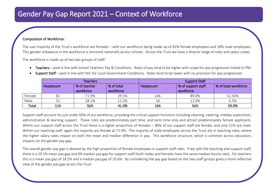## Gender Pay Gap Report 2021 – Context of Workforce

## Composition of Workforce:

The vast majority of the Trust's workforce are females – with our workforce being made up of 82% female employees and 18% male employees. This gender imbalance in the workforce is mirrored nationally across schools. Across the Trust we have a diverse range of roles and salary scales.

The workforce is made up of two key groups of staff:

Teachers – paid in line with School Teachers Pay & Conditions. Rates of pay tend to be higher with scope for pay progression linked to PM.

|        | <b>Teachers</b> |                           |                         | <b>Support Staff</b> |                                 |                      |  |
|--------|-----------------|---------------------------|-------------------------|----------------------|---------------------------------|----------------------|--|
|        | Headcount       | % of teacher<br>workforce | % of total<br>workforce | Headcount            | % of support staff<br>workforce | % of total workforce |  |
| Female | 82              | 71.9%                     | 29.5%                   | 146                  | 89.0%                           | 52.56%               |  |
| Male   | 32              | 28.1%                     | 11.5%                   | 18                   | 11.0%                           | 6.5%                 |  |
| Total  | 114             | N/A                       | 41.0%                   | 164                  | N/A                             | 59.0%                |  |

Support Staff – paid in line with NJC for Local Government Conditions. Rates tend to be lower with no provision for pay progression.

Support staff account for just under 60% of our workforce, providing the critical support functions including cleaning, catering, midday supervision, administration & learning support. These roles are predominately part time, and term time only and attract predominately female applicants. Within our support staff across the Trust there is a higher proportion of females – 89% of our support staff are female, and only 11% are male. Within our teaching staff, again the majority are female at 71.9%. The majority of male employees across the Trust are in teaching roles, where the higher salary rates impact on both the mean and median difference in pay. This workforce structure, which is common across education, impacts on the gender pay gap.

The overall gender pay gap is skewed by the high proportion of female employees in support staff roles. If we split the teaching and support staff, there is a 10.1% mean pay gap and 0% median pay gap for support staff (both males and females have the same median hourly rate). For teachers this is a mean pay gap of 18.5% and a median pay gap of 10.6%. By considering the pay gap based on the two staff groups gives a more reflective view of the gender pay gap across the Trust.